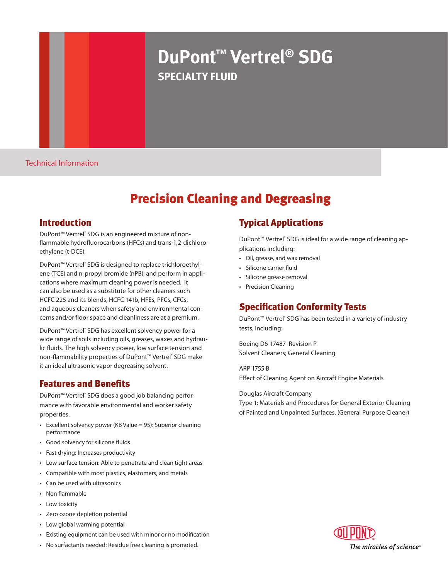# **DuPont™ Vertrel® SDG specialty fluid**

Technical Information

# Precision Cleaning and Degreasing

#### Introduction

DuPont<sup>™</sup> Vertrel<sup>®</sup> SDG is an engineered mixture of nonflammable hydrofluorocarbons (HFCs) and trans-1,2-dichloroethylene (t-DCE).

DuPont<sup>™</sup> Vertrel<sup>®</sup> SDG is designed to replace trichloroethylene (TCE) and n-propyl bromide (nPB); and perform in applications where maximum cleaning power is needed. It can also be used as a substitute for other cleaners such HCFC-225 and its blends, HCFC-141b, HFEs, PFCs, CFCs, and aqueous cleaners when safety and environmental concerns and/or floor space and cleanliness are at a premium.

DuPont<sup>™</sup> Vertrel<sup>®</sup> SDG has excellent solvency power for a wide range of soils including oils, greases, waxes and hydraulic fluids. The high solvency power, low surface tension and non-flammability properties of DuPont™ Vertrel® SDG make it an ideal ultrasonic vapor degreasing solvent.

## Features and Benefits

DuPont™ Vertrel<sup>®</sup> SDG does a good job balancing performance with favorable environmental and worker safety properties.

- $\cdot$  Excellent solvency power (KB Value = 95): Superior cleaning performance
- • Good solvency for silicone fluids
- • Fast drying: Increases productivity
- • Low surface tension: Able to penetrate and clean tight areas
- • Compatible with most plastics, elastomers, and metals
- • Can be used with ultrasonics
- • Non flammable
- Low toxicity
- • Zero ozone depletion potential
- Low global warming potential
- • Existing equipment can be used with minor or no modification

- 
- 
- 

# • No surfactants needed: Residue free cleaning is promoted.

# Typical Applications

DuPont<sup>™</sup> Vertrel<sup>®</sup> SDG is ideal for a wide range of cleaning applications including:

- • Oil, grease, and wax removal
- • Silicone carrier fluid
- • Silicone grease removal
- Precision Cleaning

# Specification Conformity Tests

DuPont<sup>™</sup> Vertrel<sup>®</sup> SDG has been tested in a variety of industry tests, including:

Boeing D6-17487 Revision P Solvent Cleaners; General Cleaning

ARP 1755 B Effect of Cleaning Agent on Aircraft Engine Materials

Douglas Aircraft Company

Type 1: Materials and Procedures for General Exterior Cleaning of Painted and Unpainted Surfaces. (General Purpose Cleaner)

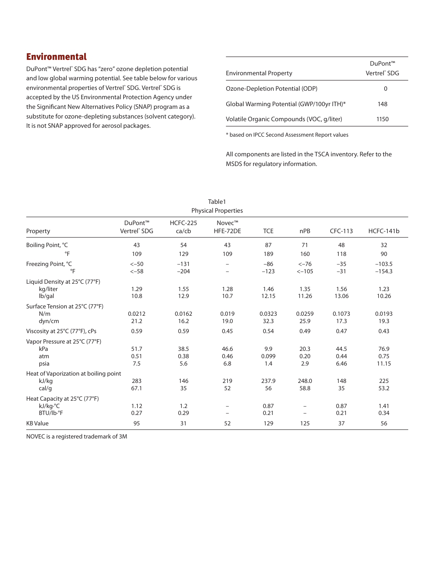## Environmental

DuPont<sup>™</sup> Vertrel<sup>®</sup> SDG has "zero" ozone depletion potential and low global warming potential. See table below for various environmental properties of Vertrel<sup>®</sup> SDG. Vertrel<sup>®</sup> SDG is accepted by the US Environmental Protection Agency under the Significant New Alternatives Policy (SNAP) program as a substitute for ozone-depleting substances (solvent category). It is not SNAP approved for aerosol packages.

| <b>Environmental Property</b>             | DuPont™<br>Vertrel <sup>®</sup> SDG |
|-------------------------------------------|-------------------------------------|
| Ozone-Depletion Potential (ODP)           | $\Omega$                            |
| Global Warming Potential (GWP/100yr ITH)* | 148                                 |
| Volatile Organic Compounds (VOC, q/liter) | 1150                                |

\* based on IPCC Second Assessment Report values

All components are listed in the TSCA inventory. Refer to the MSDS for regulatory information.

| Table1                                                  |                                                 |                                |                                                      |                     |                                               |                      |                       |
|---------------------------------------------------------|-------------------------------------------------|--------------------------------|------------------------------------------------------|---------------------|-----------------------------------------------|----------------------|-----------------------|
| <b>Physical Properties</b>                              |                                                 |                                |                                                      |                     |                                               |                      |                       |
| Property                                                | DuPont <sup>™</sup><br>Vertrel <sup>®</sup> SDG | <b>HCFC-225</b><br>$ca$ / $cb$ | Novec™<br>HFE-72DE                                   | <b>TCE</b>          | nPB                                           | CFC-113              | HCFC-141b             |
| Boiling Point, °C                                       | 43                                              | 54                             | 43                                                   | 87                  | 71                                            | 48                   | 32                    |
| $\overline{F}$                                          | 109                                             | 129                            | 109                                                  | 189                 | 160                                           | 118                  | 90                    |
| Freezing Point, °C<br>$\circ$ F                         | $<-50$<br>$<-58$                                | $-131$<br>$-204$               | $\overline{\phantom{0}}$                             | $-86$<br>$-123$     | $<-76$<br>$<-105$                             | $-35$<br>$-31$       | $-103.5$<br>$-154.3$  |
| Liquid Density at 25°C (77°F)<br>kg/liter<br>lb/gal     | 1.29<br>10.8                                    | 1.55<br>12.9                   | 1.28<br>10.7                                         | 1.46<br>12.15       | 1.35<br>11.26                                 | 1.56<br>13.06        | 1.23<br>10.26         |
| Surface Tension at 25°C (77°F)<br>N/m<br>dyn/cm         | 0.0212<br>21.2                                  | 0.0162<br>16.2                 | 0.019<br>19.0                                        | 0.0323<br>32.3      | 0.0259<br>25.9                                | 0.1073<br>17.3       | 0.0193<br>19.3        |
| Viscosity at 25°C (77°F), cPs                           | 0.59                                            | 0.59                           | 0.45                                                 | 0.54                | 0.49                                          | 0.47                 | 0.43                  |
| Vapor Pressure at 25°C (77°F)<br>kPa<br>atm<br>psia     | 51.7<br>0.51<br>7.5                             | 38.5<br>0.38<br>5.6            | 46.6<br>0.46<br>6.8                                  | 9.9<br>0.099<br>1.4 | 20.3<br>0.20<br>2.9                           | 44.5<br>0.44<br>6.46 | 76.9<br>0.75<br>11.15 |
| Heat of Vaporization at boiling point<br>kJ/kg<br>cal/q | 283<br>67.1                                     | 146<br>35                      | 219<br>52                                            | 237.9<br>56         | 248.0<br>58.8                                 | 148<br>35            | 225<br>53.2           |
| Heat Capacity at 25°C (77°F)<br>kJ/kg.°C<br>BTU/lb.°F   | 1.12<br>0.27                                    | 1.2<br>0.29                    | $\overline{\phantom{0}}$<br>$\overline{\phantom{m}}$ | 0.87<br>0.21        | $\overline{\phantom{0}}$<br>$\qquad \qquad -$ | 0.87<br>0.21         | 1.41<br>0.34          |
| <b>KB Value</b>                                         | 95                                              | 31                             | 52                                                   | 129                 | 125                                           | 37                   | 56                    |

NOVEC is a registered trademark of 3M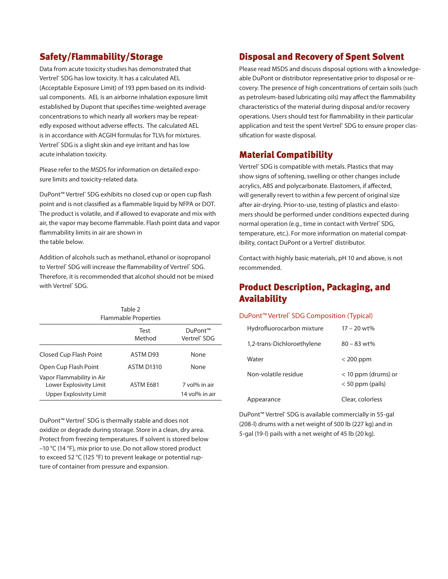## Safety/Flammability/Storage

Data from acute toxicity studies has demonstrated that Vertrel® SDG has low toxicity. It has a calculated AEL (Acceptable Exposure Limit) of 193 ppm based on its individual components. AEL is an airborne inhalation exposure limit established by Dupont that specifies time-weighted average concentrations to which nearly all workers may be repeatedly exposed without adverse effects. The calculated AEL is in accordance with ACGIH formulas for TLVs for mixtures. Vertrel® SDG is a slight skin and eye irritant and has low acute inhalation toxicity.

Please refer to the MSDS for information on detailed exposure limits and toxicity-related data.

DuPont<sup>™</sup> Vertrel<sup>®</sup> SDG exhibits no closed cup or open cup flash point and is not classified as a flammable liquid by NFPA or DOT. The product is volatile, and if allowed to evaporate and mix with air, the vapor may become flammable. Flash point data and vapor flammability limits in air are shown in the table below.

Addition of alcohols such as methanol, ethanol or isopropanol to Vertrel<sup>®</sup> SDG will increase the flammability of Vertrel<sup>®</sup> SDG. Therefore, it is recommended that alcohol should not be mixed with Vertrel® SDG.

| Table 2<br>Flammable Properties                                                 |                   |                                             |  |  |  |
|---------------------------------------------------------------------------------|-------------------|---------------------------------------------|--|--|--|
|                                                                                 | Test<br>Method    | DuPont™<br>Vertrel <sup>®</sup> SDG         |  |  |  |
| Closed Cup Flash Point                                                          | ASTM D93          | None                                        |  |  |  |
| Open Cup Flash Point                                                            | <b>ASTM D1310</b> | None                                        |  |  |  |
| Vapor Flammability in Air<br>Lower Explosivity Limit<br>Upper Explosivity Limit | ASTM E681         | 7 vol <sup>%</sup> in air<br>14 vol% in air |  |  |  |

DuPont™ Vertrel<sup>®</sup> SDG is thermally stable and does not oxidize or degrade during storage. Store in a clean, dry area. Protect from freezing temperatures. If solvent is stored below –10 °C (14 °F), mix prior to use. Do not allow stored product to exceed 52 °C (125 °F) to prevent leakage or potential rupture of container from pressure and expansion.

### Disposal and Recovery of Spent Solvent

Please read MSDS and discuss disposal options with a knowledgeable DuPont or distributor representative prior to disposal or recovery. The presence of high concentrations of certain soils (such as petroleum-based lubricating oils) may affect the flammability characteristics of the material during disposal and/or recovery operations. Users should test for flammability in their particular application and test the spent Vertrel® SDG to ensure proper classification for waste disposal.

#### Material Compatibility

Vertrel<sup>®</sup> SDG is compatible with metals. Plastics that may show signs of softening, swelling or other changes include acrylics, ABS and polycarbonate. Elastomers, if affected, will generally revert to within a few percent of original size after air-drying. Prior-to-use, testing of plastics and elastomers should be performed under conditions expected during normal operation (e.g., time in contact with Vertrel<sup>®</sup> SDG, temperature, etc.). For more information on material compatibility, contact DuPont or a Vertrel<sup>e</sup> distributor.

Contact with highly basic materials, pH 10 and above, is not recommended.

## Product Description, Packaging, and Availability

#### DuPont<sup>™</sup> Vertrel<sup>®</sup> SDG Composition (Typical)

| Hydrofluorocarbon mixture  | $17 - 20$ wt%                               |
|----------------------------|---------------------------------------------|
| 1,2-trans-Dichloroethylene | $80 - 83$ wt%                               |
| Water                      | $<$ 200 ppm                                 |
| Non-volatile residue       | $<$ 10 ppm (drums) or<br>$< 50$ ppm (pails) |
| Appearance                 | Clear, colorless                            |

DuPont<sup>™</sup> Vertrel<sup>®</sup> SDG is available commercially in 55-gal (208-l) drums with a net weight of 500 lb (227 kg) and in 5-gal (19-l) pails with a net weight of 45 lb (20 kg).